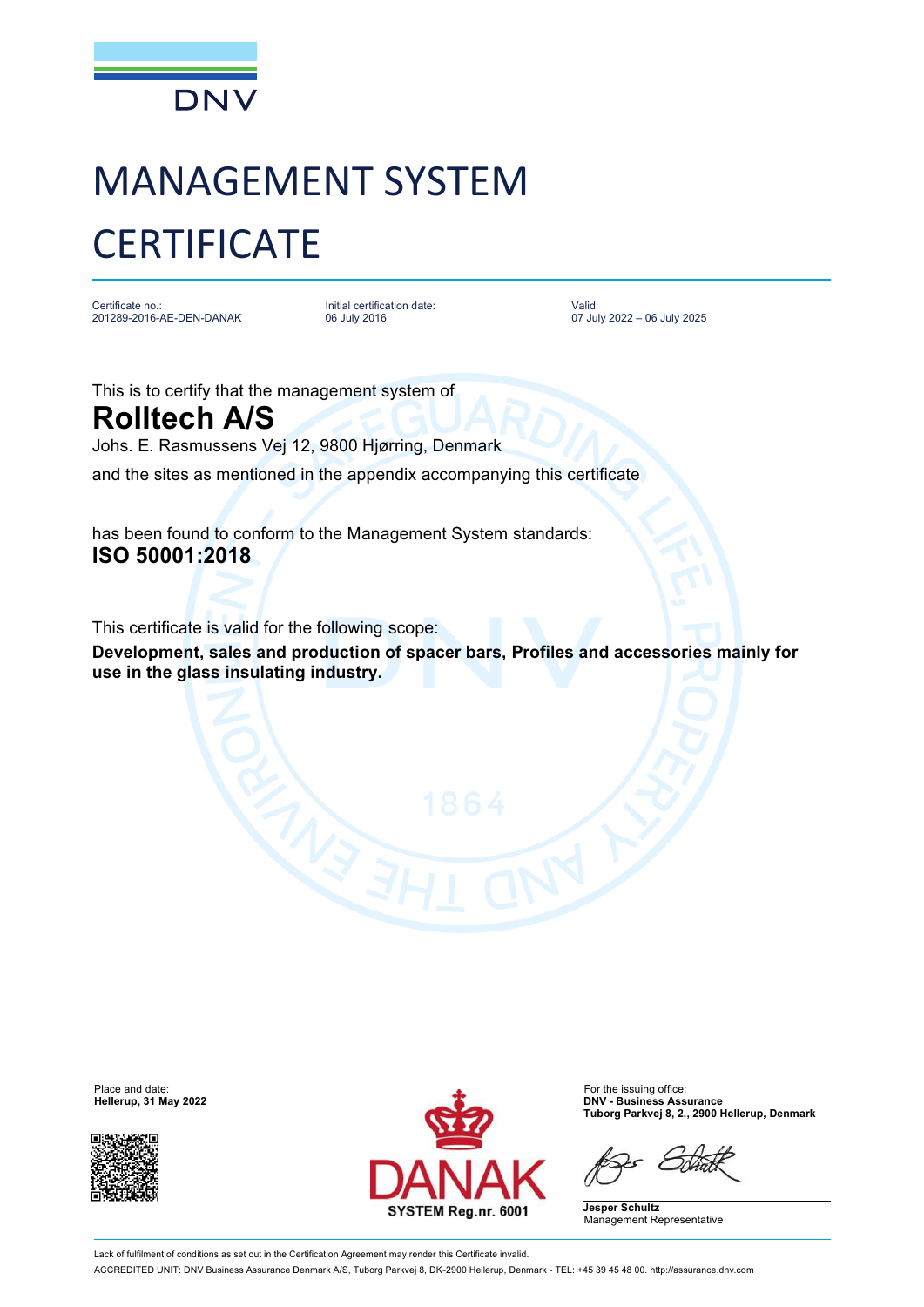

## MANAGEMENT SYSTEM **CERTIFICATE**

Certificate no.: 201289-2016-AE-DEN-DANAK

Initial certification date: 06 July 2016

Valid: 07 July 2022 – 06 July 2025

This is to certify that the management system of

**Rolltech A/S** Johs. E. Rasmussens Vej 12, 9800 Hjørring, Denmark and the sites as mentioned in the appendix accompanying this certificate

has been found to conform to the Management System standards: **ISO 50001:2018**

This certificate is valid for the following scope:

**Development, sales and production of spacer bars, Profiles and accessories mainly for use in the glass insulating industry.**





**Hellerup, 31 May 2022 DNV - Business Assurance Tuborg Parkvej 8, 2., 2900 Hellerup, Denmark**

**Jesper Schultz** Management Representative

Lack of fulfilment of conditions as set out in the Certification Agreement may render this Certificate invalid. ACCREDITED UNIT: DNV Business Assurance Denmark A/S, Tuborg Parkvej 8, DK-2900 Hellerup, Denmark - TEL: +45 39 45 48 00.<http://assurance.dnv.com>